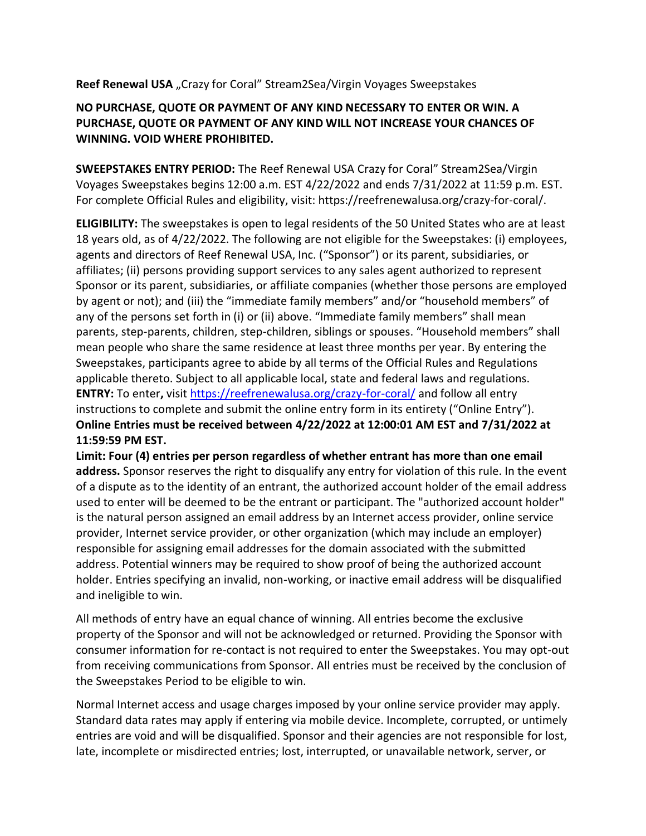## **Reef Renewal USA** "Crazy for Coral" Stream2Sea/Virgin Voyages Sweepstakes

## **NO PURCHASE, QUOTE OR PAYMENT OF ANY KIND NECESSARY TO ENTER OR WIN. A PURCHASE, QUOTE OR PAYMENT OF ANY KIND WILL NOT INCREASE YOUR CHANCES OF WINNING. VOID WHERE PROHIBITED.**

**SWEEPSTAKES ENTRY PERIOD:** The Reef Renewal USA Crazy for Coral" Stream2Sea/Virgin Voyages Sweepstakes begins 12:00 a.m. EST 4/22/2022 and ends 7/31/2022 at 11:59 p.m. EST. For complete Official Rules and eligibility, visit: https://reefrenewalusa.org/crazy-for-coral/.

**ELIGIBILITY:** The sweepstakes is open to legal residents of the 50 United States who are at least 18 years old, as of 4/22/2022. The following are not eligible for the Sweepstakes: (i) employees, agents and directors of Reef Renewal USA, Inc. ("Sponsor") or its parent, subsidiaries, or affiliates; (ii) persons providing support services to any sales agent authorized to represent Sponsor or its parent, subsidiaries, or affiliate companies (whether those persons are employed by agent or not); and (iii) the "immediate family members" and/or "household members" of any of the persons set forth in (i) or (ii) above. "Immediate family members" shall mean parents, step-parents, children, step-children, siblings or spouses. "Household members" shall mean people who share the same residence at least three months per year. By entering the Sweepstakes, participants agree to abide by all terms of the Official Rules and Regulations applicable thereto. Subject to all applicable local, state and federal laws and regulations. **ENTRY:** To enter**,** visit<https://reefrenewalusa.org/crazy-for-coral/> and follow all entry instructions to complete and submit the online entry form in its entirety ("Online Entry"). **Online Entries must be received between 4/22/2022 at 12:00:01 AM EST and 7/31/2022 at 11:59:59 PM EST.**

**Limit: Four (4) entries per person regardless of whether entrant has more than one email address.** Sponsor reserves the right to disqualify any entry for violation of this rule. In the event of a dispute as to the identity of an entrant, the authorized account holder of the email address used to enter will be deemed to be the entrant or participant. The "authorized account holder" is the natural person assigned an email address by an Internet access provider, online service provider, Internet service provider, or other organization (which may include an employer) responsible for assigning email addresses for the domain associated with the submitted address. Potential winners may be required to show proof of being the authorized account holder. Entries specifying an invalid, non-working, or inactive email address will be disqualified and ineligible to win.

All methods of entry have an equal chance of winning. All entries become the exclusive property of the Sponsor and will not be acknowledged or returned. Providing the Sponsor with consumer information for re-contact is not required to enter the Sweepstakes. You may opt-out from receiving communications from Sponsor. All entries must be received by the conclusion of the Sweepstakes Period to be eligible to win.

Normal Internet access and usage charges imposed by your online service provider may apply. Standard data rates may apply if entering via mobile device. Incomplete, corrupted, or untimely entries are void and will be disqualified. Sponsor and their agencies are not responsible for lost, late, incomplete or misdirected entries; lost, interrupted, or unavailable network, server, or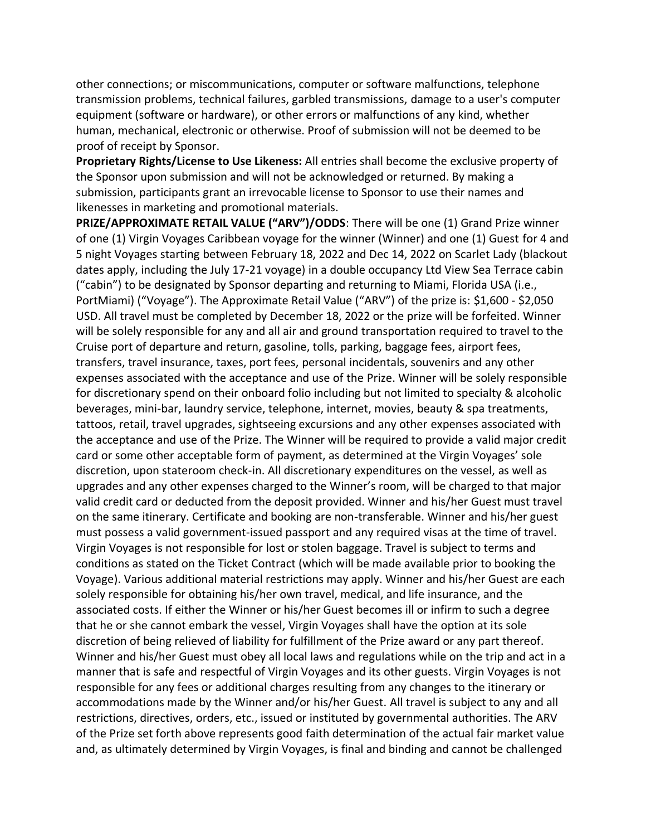other connections; or miscommunications, computer or software malfunctions, telephone transmission problems, technical failures, garbled transmissions, damage to a user's computer equipment (software or hardware), or other errors or malfunctions of any kind, whether human, mechanical, electronic or otherwise. Proof of submission will not be deemed to be proof of receipt by Sponsor.

**Proprietary Rights/License to Use Likeness:** All entries shall become the exclusive property of the Sponsor upon submission and will not be acknowledged or returned. By making a submission, participants grant an irrevocable license to Sponsor to use their names and likenesses in marketing and promotional materials.

**PRIZE/APPROXIMATE RETAIL VALUE ("ARV")/ODDS**: There will be one (1) Grand Prize winner of one (1) Virgin Voyages Caribbean voyage for the winner (Winner) and one (1) Guest for 4 and 5 night Voyages starting between February 18, 2022 and Dec 14, 2022 on Scarlet Lady (blackout dates apply, including the July 17-21 voyage) in a double occupancy Ltd View Sea Terrace cabin ("cabin") to be designated by Sponsor departing and returning to Miami, Florida USA (i.e., PortMiami) ("Voyage"). The Approximate Retail Value ("ARV") of the prize is: \$1,600 - \$2,050 USD. All travel must be completed by December 18, 2022 or the prize will be forfeited. Winner will be solely responsible for any and all air and ground transportation required to travel to the Cruise port of departure and return, gasoline, tolls, parking, baggage fees, airport fees, transfers, travel insurance, taxes, port fees, personal incidentals, souvenirs and any other expenses associated with the acceptance and use of the Prize. Winner will be solely responsible for discretionary spend on their onboard folio including but not limited to specialty & alcoholic beverages, mini-bar, laundry service, telephone, internet, movies, beauty & spa treatments, tattoos, retail, travel upgrades, sightseeing excursions and any other expenses associated with the acceptance and use of the Prize. The Winner will be required to provide a valid major credit card or some other acceptable form of payment, as determined at the Virgin Voyages' sole discretion, upon stateroom check-in. All discretionary expenditures on the vessel, as well as upgrades and any other expenses charged to the Winner's room, will be charged to that major valid credit card or deducted from the deposit provided. Winner and his/her Guest must travel on the same itinerary. Certificate and booking are non-transferable. Winner and his/her guest must possess a valid government-issued passport and any required visas at the time of travel. Virgin Voyages is not responsible for lost or stolen baggage. Travel is subject to terms and conditions as stated on the Ticket Contract (which will be made available prior to booking the Voyage). Various additional material restrictions may apply. Winner and his/her Guest are each solely responsible for obtaining his/her own travel, medical, and life insurance, and the associated costs. If either the Winner or his/her Guest becomes ill or infirm to such a degree that he or she cannot embark the vessel, Virgin Voyages shall have the option at its sole discretion of being relieved of liability for fulfillment of the Prize award or any part thereof. Winner and his/her Guest must obey all local laws and regulations while on the trip and act in a manner that is safe and respectful of Virgin Voyages and its other guests. Virgin Voyages is not responsible for any fees or additional charges resulting from any changes to the itinerary or accommodations made by the Winner and/or his/her Guest. All travel is subject to any and all restrictions, directives, orders, etc., issued or instituted by governmental authorities. The ARV of the Prize set forth above represents good faith determination of the actual fair market value and, as ultimately determined by Virgin Voyages, is final and binding and cannot be challenged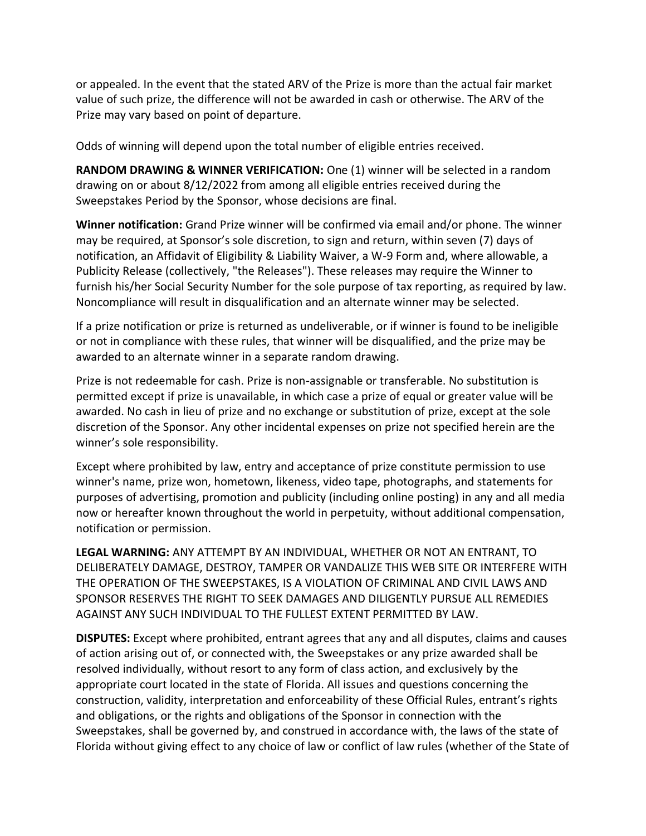or appealed. In the event that the stated ARV of the Prize is more than the actual fair market value of such prize, the difference will not be awarded in cash or otherwise. The ARV of the Prize may vary based on point of departure.

Odds of winning will depend upon the total number of eligible entries received.

**RANDOM DRAWING & WINNER VERIFICATION:** One (1) winner will be selected in a random drawing on or about 8/12/2022 from among all eligible entries received during the Sweepstakes Period by the Sponsor, whose decisions are final.

**Winner notification:** Grand Prize winner will be confirmed via email and/or phone. The winner may be required, at Sponsor's sole discretion, to sign and return, within seven (7) days of notification, an Affidavit of Eligibility & Liability Waiver, a W-9 Form and, where allowable, a Publicity Release (collectively, "the Releases"). These releases may require the Winner to furnish his/her Social Security Number for the sole purpose of tax reporting, as required by law. Noncompliance will result in disqualification and an alternate winner may be selected.

If a prize notification or prize is returned as undeliverable, or if winner is found to be ineligible or not in compliance with these rules, that winner will be disqualified, and the prize may be awarded to an alternate winner in a separate random drawing.

Prize is not redeemable for cash. Prize is non-assignable or transferable. No substitution is permitted except if prize is unavailable, in which case a prize of equal or greater value will be awarded. No cash in lieu of prize and no exchange or substitution of prize, except at the sole discretion of the Sponsor. Any other incidental expenses on prize not specified herein are the winner's sole responsibility.

Except where prohibited by law, entry and acceptance of prize constitute permission to use winner's name, prize won, hometown, likeness, video tape, photographs, and statements for purposes of advertising, promotion and publicity (including online posting) in any and all media now or hereafter known throughout the world in perpetuity, without additional compensation, notification or permission.

**LEGAL WARNING:** ANY ATTEMPT BY AN INDIVIDUAL, WHETHER OR NOT AN ENTRANT, TO DELIBERATELY DAMAGE, DESTROY, TAMPER OR VANDALIZE THIS WEB SITE OR INTERFERE WITH THE OPERATION OF THE SWEEPSTAKES, IS A VIOLATION OF CRIMINAL AND CIVIL LAWS AND SPONSOR RESERVES THE RIGHT TO SEEK DAMAGES AND DILIGENTLY PURSUE ALL REMEDIES AGAINST ANY SUCH INDIVIDUAL TO THE FULLEST EXTENT PERMITTED BY LAW.

**DISPUTES:** Except where prohibited, entrant agrees that any and all disputes, claims and causes of action arising out of, or connected with, the Sweepstakes or any prize awarded shall be resolved individually, without resort to any form of class action, and exclusively by the appropriate court located in the state of Florida. All issues and questions concerning the construction, validity, interpretation and enforceability of these Official Rules, entrant's rights and obligations, or the rights and obligations of the Sponsor in connection with the Sweepstakes, shall be governed by, and construed in accordance with, the laws of the state of Florida without giving effect to any choice of law or conflict of law rules (whether of the State of